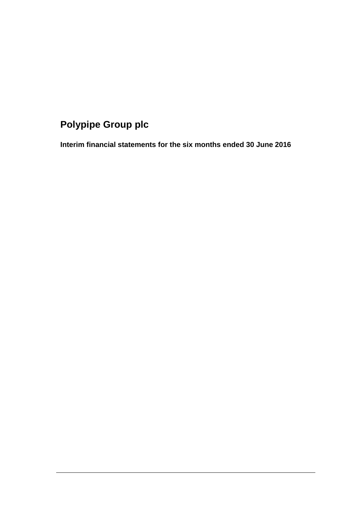# **Polypipe Group plc**

**Interim financial statements for the six months ended 30 June 2016**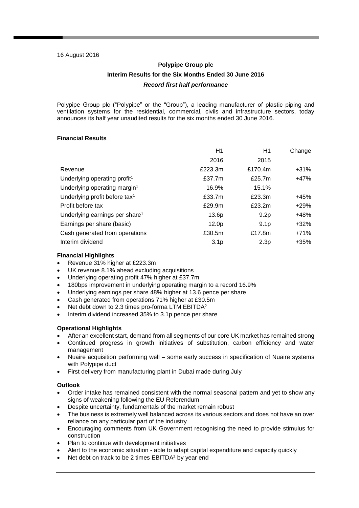### 16 August 2016

## **Polypipe Group plc Interim Results for the Six Months Ended 30 June 2016** *Record first half performance*

Polypipe Group plc ("Polypipe" or the "Group"), a leading manufacturer of plastic piping and ventilation systems for the residential, commercial, civils and infrastructure sectors, today announces its half year unaudited results for the six months ended 30 June 2016.

## **Financial Results**

|                                            | H1                | H1               | Change  |
|--------------------------------------------|-------------------|------------------|---------|
|                                            | 2016              | 2015             |         |
| Revenue                                    | £223.3m           | £170.4m          | $+31%$  |
| Underlying operating profit <sup>1</sup>   | £37.7m            | £25.7m           | +47%    |
| Underlying operating margin <sup>1</sup>   | 16.9%             | 15.1%            |         |
| Underlying profit before tax <sup>1</sup>  | £33.7m            | £23.3m           | +45%    |
| Profit before tax                          | £29.9m            | £23.2m           | $+29%$  |
| Underlying earnings per share <sup>1</sup> | 13.6p             | 9.2 <sub>p</sub> | +48%    |
| Earnings per share (basic)                 | 12.0 <sub>p</sub> | 9.1 <sub>p</sub> | $+32\%$ |
| Cash generated from operations             | £30.5m            | £17.8m           | +71%    |
| Interim dividend                           | 3.1 <sub>p</sub>  | 2.3 <sub>p</sub> | +35%    |

### **Financial Highlights**

- Revenue 31% higher at £223.3m
- UK revenue 8.1% ahead excluding acquisitions
- Underlying operating profit 47% higher at £37.7m
- 180bps improvement in underlying operating margin to a record 16.9%
- Underlying earnings per share 48% higher at 13.6 pence per share
- Cash generated from operations 71% higher at £30.5m
- Net debt down to 2.3 times pro-forma LTM EBITDA<sup>2</sup>
- Interim dividend increased 35% to 3.1p pence per share

## **Operational Highlights**

- After an excellent start, demand from all segments of our core UK market has remained strong
- Continued progress in growth initiatives of substitution, carbon efficiency and water management
- Nuaire acquisition performing well some early success in specification of Nuaire systems with Polypipe duct
- First delivery from manufacturing plant in Dubai made during July

## **Outlook**

- Order intake has remained consistent with the normal seasonal pattern and yet to show any signs of weakening following the EU Referendum
- Despite uncertainty, fundamentals of the market remain robust
- The business is extremely well balanced across its various sectors and does not have an over reliance on any particular part of the industry
- Encouraging comments from UK Government recognising the need to provide stimulus for construction
- Plan to continue with development initiatives
- Alert to the economic situation able to adapt capital expenditure and capacity quickly
- Net debt on track to be 2 times EBITDA<sup>2</sup> by year end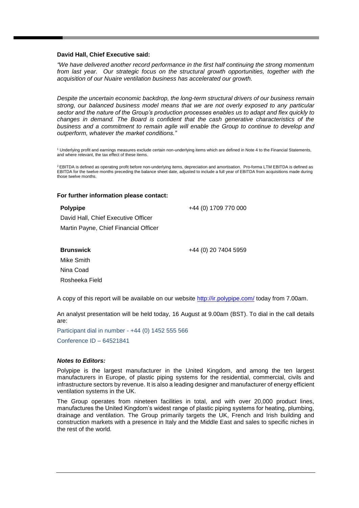### **David Hall, Chief Executive said:**

*"We have delivered another record performance in the first half continuing the strong momentum from last year. Our strategic focus on the structural growth opportunities, together with the acquisition of our Nuaire ventilation business has accelerated our growth.*

*Despite the uncertain economic backdrop, the long-term structural drivers of our business remain strong, our balanced business model means that we are not overly exposed to any particular sector and the nature of the Group's production processes enables us to adapt and flex quickly to changes in demand. The Board is confident that the cash generative characteristics of the business and a commitment to remain agile will enable the Group to continue to develop and outperform, whatever the market conditions."* 

<sup>1</sup> Underlying profit and earnings measures exclude certain non-underlying items which are defined in Note 4 to the Financial Statements, and where relevant, the tax effect of these items.

<sup>2</sup> EBITDA is defined as operating profit before non-underlying items, depreciation and amortisation. Pro-forma LTM EBITDA is defined as EBITDA for the twelve months preceding the balance sheet date, adjusted to include a full year of EBITDA from acquisitions made during those twelve months.

### **For further information please contact:**

### **Polypipe** David Hall, Chief Executive Officer Martin Payne, Chief Financial Officer +44 (0) 1709 770 000

### **Brunswick**

+44 (0) 20 7404 5959

Mike Smith Nina Coad Rosheeka Field

A copy of this report will be available on our website<http://ir.polypipe.com/> today from 7.00am.

An analyst presentation will be held today, 16 August at 9.00am (BST). To dial in the call details are:

Participant dial in number - +44 (0) 1452 555 566 Conference ID – 64521841

### *Notes to Editors:*

Polypipe is the largest manufacturer in the United Kingdom, and among the ten largest manufacturers in Europe, of plastic piping systems for the residential, commercial, civils and infrastructure sectors by revenue. It is also a leading designer and manufacturer of energy efficient ventilation systems in the UK.

The Group operates from nineteen facilities in total, and with over 20,000 product lines, manufactures the United Kingdom's widest range of plastic piping systems for heating, plumbing, drainage and ventilation. The Group primarily targets the UK, French and Irish building and construction markets with a presence in Italy and the Middle East and sales to specific niches in the rest of the world.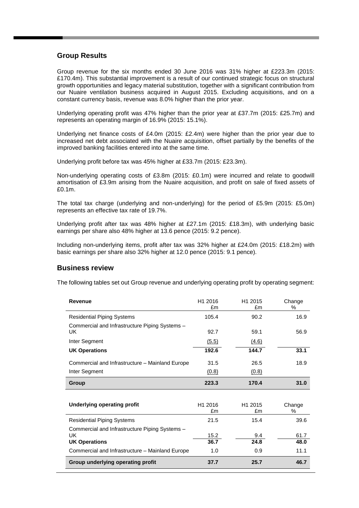## **Group Results**

Group revenue for the six months ended 30 June 2016 was 31% higher at £223.3m (2015: £170.4m). This substantial improvement is a result of our continued strategic focus on structural growth opportunities and legacy material substitution, together with a significant contribution from our Nuaire ventilation business acquired in August 2015. Excluding acquisitions, and on a constant currency basis, revenue was 8.0% higher than the prior year.

Underlying operating profit was 47% higher than the prior year at £37.7m (2015: £25.7m) and represents an operating margin of 16.9% (2015: 15.1%).

Underlying net finance costs of £4.0m (2015: £2.4m) were higher than the prior year due to increased net debt associated with the Nuaire acquisition, offset partially by the benefits of the improved banking facilities entered into at the same time.

Underlying profit before tax was 45% higher at £33.7m (2015: £23.3m).

Non-underlying operating costs of £3.8m (2015: £0.1m) were incurred and relate to goodwill amortisation of £3.9m arising from the Nuaire acquisition, and profit on sale of fixed assets of £0.1m.

The total tax charge (underlying and non-underlying) for the period of £5.9m (2015: £5.0m) represents an effective tax rate of 19.7%.

Underlying profit after tax was 48% higher at £27.1m (2015: £18.3m), with underlying basic earnings per share also 48% higher at 13.6 pence (2015: 9.2 pence).

Including non-underlying items, profit after tax was 32% higher at £24.0m (2015: £18.2m) with basic earnings per share also 32% higher at 12.0 pence (2015: 9.1 pence).

### **Business review**

The following tables set out Group revenue and underlying operating profit by operating segment:

| <b>Revenue</b>                                                                                                                   | H1 2016<br>£m       | H1 2015<br>£m             | Change<br>℅          |
|----------------------------------------------------------------------------------------------------------------------------------|---------------------|---------------------------|----------------------|
| <b>Residential Piping Systems</b>                                                                                                | 105.4               | 90.2                      | 16.9                 |
| Commercial and Infrastructure Piping Systems -<br>UK                                                                             | 92.7                | 59.1                      | 56.9                 |
| Inter Segment                                                                                                                    | (5.5)               | (4.6)                     |                      |
| <b>UK Operations</b>                                                                                                             | 192.6               | 144.7                     | 33.1                 |
| Commercial and Infrastructure - Mainland Europe                                                                                  | 31.5                | 26.5                      | 18.9                 |
| Inter Segment                                                                                                                    | (0.8)               | (0.8)                     |                      |
| Group                                                                                                                            | 223.3               | 170.4                     | 31.0                 |
|                                                                                                                                  |                     |                           |                      |
| <b>Underlying operating profit</b>                                                                                               | H1 2016<br>£m       | H <sub>1</sub> 2015<br>£m | Change<br>%          |
| <b>Residential Piping Systems</b>                                                                                                | 21.5                | 15.4                      | 39.6                 |
| Commercial and Infrastructure Piping Systems -<br>UK.<br><b>UK Operations</b><br>Commercial and Infrastructure - Mainland Europe | 15.2<br>36.7<br>1.0 | 9.4<br>24.8<br>0.9        | 61.7<br>48.0<br>11.1 |
| Group underlying operating profit                                                                                                | 37.7                | 25.7                      | 46.7                 |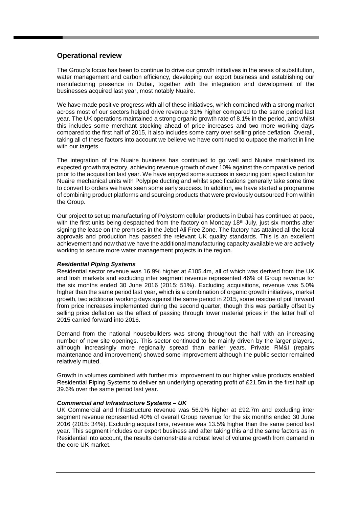## **Operational review**

The Group's focus has been to continue to drive our growth initiatives in the areas of substitution, water management and carbon efficiency, developing our export business and establishing our manufacturing presence in Dubai, together with the integration and development of the businesses acquired last year, most notably Nuaire.

We have made positive progress with all of these initiatives, which combined with a strong market across most of our sectors helped drive revenue 31% higher compared to the same period last year. The UK operations maintained a strong organic growth rate of 8.1% in the period, and whilst this includes some merchant stocking ahead of price increases and two more working days compared to the first half of 2015, it also includes some carry over selling price deflation. Overall, taking all of these factors into account we believe we have continued to outpace the market in line with our targets.

The integration of the Nuaire business has continued to go well and Nuaire maintained its expected growth trajectory, achieving revenue growth of over 10% against the comparative period prior to the acquisition last year. We have enjoyed some success in securing joint specification for Nuaire mechanical units with Polypipe ducting and whilst specifications generally take some time to convert to orders we have seen some early success. In addition, we have started a programme of combining product platforms and sourcing products that were previously outsourced from within the Group.

Our project to set up manufacturing of Polystorm cellular products in Dubai has continued at pace, with the first units being despatched from the factory on Monday 18<sup>th</sup> July, just six months after signing the lease on the premises in the Jebel Ali Free Zone. The factory has attained all the local approvals and production has passed the relevant UK quality standards. This is an excellent achievement and now that we have the additional manufacturing capacity available we are actively working to secure more water management projects in the region.

### *Residential Piping Systems*

Residential sector revenue was 16.9% higher at £105.4m, all of which was derived from the UK and Irish markets and excluding inter segment revenue represented 46% of Group revenue for the six months ended 30 June 2016 (2015: 51%). Excluding acquisitions, revenue was 5.0% higher than the same period last year, which is a combination of organic growth initiatives, market growth, two additional working days against the same period in 2015, some residue of pull forward from price increases implemented during the second quarter, though this was partially offset by selling price deflation as the effect of passing through lower material prices in the latter half of 2015 carried forward into 2016.

Demand from the national housebuilders was strong throughout the half with an increasing number of new site openings. This sector continued to be mainly driven by the larger players, although increasingly more regionally spread than earlier years. Private RM&I (repairs maintenance and improvement) showed some improvement although the public sector remained relatively muted.

Growth in volumes combined with further mix improvement to our higher value products enabled Residential Piping Systems to deliver an underlying operating profit of £21.5m in the first half up 39.6% over the same period last year.

### *Commercial and Infrastructure Systems – UK*

UK Commercial and Infrastructure revenue was 56.9% higher at £92.7m and excluding inter segment revenue represented 40% of overall Group revenue for the six months ended 30 June 2016 (2015: 34%). Excluding acquisitions, revenue was 13.5% higher than the same period last year. This segment includes our export business and after taking this and the same factors as in Residential into account, the results demonstrate a robust level of volume growth from demand in the core UK market.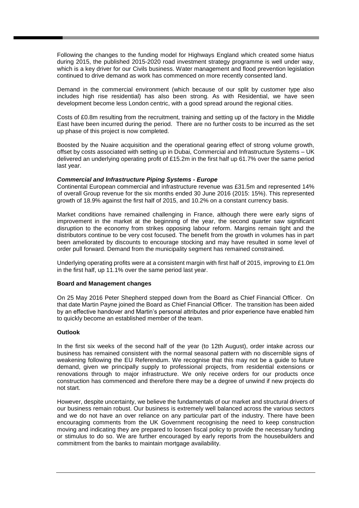Following the changes to the funding model for Highways England which created some hiatus during 2015, the published 2015-2020 road investment strategy programme is well under way, which is a key driver for our Civils business. Water management and flood prevention legislation continued to drive demand as work has commenced on more recently consented land.

Demand in the commercial environment (which because of our split by customer type also includes high rise residential) has also been strong. As with Residential, we have seen development become less London centric, with a good spread around the regional cities.

Costs of £0.8m resulting from the recruitment, training and setting up of the factory in the Middle East have been incurred during the period. There are no further costs to be incurred as the set up phase of this project is now completed.

Boosted by the Nuaire acquisition and the operational gearing effect of strong volume growth, offset by costs associated with setting up in Dubai, Commercial and Infrastructure Systems – UK delivered an underlying operating profit of £15.2m in the first half up 61.7% over the same period last year.

### *Commercial and Infrastructure Piping Systems - Europe*

Continental European commercial and infrastructure revenue was £31.5m and represented 14% of overall Group revenue for the six months ended 30 June 2016 (2015: 15%). This represented growth of 18.9% against the first half of 2015, and 10.2% on a constant currency basis.

Market conditions have remained challenging in France, although there were early signs of improvement in the market at the beginning of the year, the second quarter saw significant disruption to the economy from strikes opposing labour reform. Margins remain tight and the distributors continue to be very cost focused. The benefit from the growth in volumes has in part been ameliorated by discounts to encourage stocking and may have resulted in some level of order pull forward. Demand from the municipality segment has remained constrained.

Underlying operating profits were at a consistent margin with first half of 2015, improving to £1.0m in the first half, up 11.1% over the same period last year.

### **Board and Management changes**

On 25 May 2016 Peter Shepherd stepped down from the Board as Chief Financial Officer. On that date Martin Payne joined the Board as Chief Financial Officer. The transition has been aided by an effective handover and Martin's personal attributes and prior experience have enabled him to quickly become an established member of the team.

### **Outlook**

In the first six weeks of the second half of the year (to 12th August), order intake across our business has remained consistent with the normal seasonal pattern with no discernible signs of weakening following the EU Referendum. We recognise that this may not be a guide to future demand, given we principally supply to professional projects, from residential extensions or renovations through to major infrastructure. We only receive orders for our products once construction has commenced and therefore there may be a degree of unwind if new projects do not start.

However, despite uncertainty, we believe the fundamentals of our market and structural drivers of our business remain robust. Our business is extremely well balanced across the various sectors and we do not have an over reliance on any particular part of the industry. There have been encouraging comments from the UK Government recognising the need to keep construction moving and indicating they are prepared to loosen fiscal policy to provide the necessary funding or stimulus to do so. We are further encouraged by early reports from the housebuilders and commitment from the banks to maintain mortgage availability.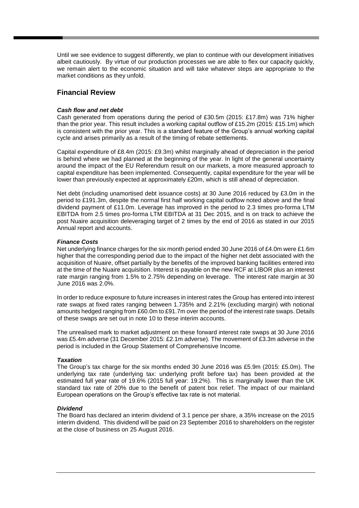Until we see evidence to suggest differently, we plan to continue with our development initiatives albeit cautiously. By virtue of our production processes we are able to flex our capacity quickly, we remain alert to the economic situation and will take whatever steps are appropriate to the market conditions as they unfold.

## **Financial Review**

### *Cash flow and net debt*

Cash generated from operations during the period of £30.5m (2015: £17.8m) was 71% higher than the prior year. This result includes a working capital outflow of £15.2m (2015: £15.1m) which is consistent with the prior year. This is a standard feature of the Group's annual working capital cycle and arises primarily as a result of the timing of rebate settlements.

Capital expenditure of £8.4m (2015: £9.3m) whilst marginally ahead of depreciation in the period is behind where we had planned at the beginning of the year. In light of the general uncertainty around the impact of the EU Referendum result on our markets, a more measured approach to capital expenditure has been implemented. Consequently, capital expenditure for the year will be lower than previously expected at approximately £20m, which is still ahead of depreciation.

Net debt (including unamortised debt issuance costs) at 30 June 2016 reduced by £3.0m in the period to £191.3m, despite the normal first half working capital outflow noted above and the final dividend payment of £11.0m. Leverage has improved in the period to 2.3 times pro-forma LTM EBITDA from 2.5 times pro-forma LTM EBITDA at 31 Dec 2015, and is on track to achieve the post Nuaire acquisition deleveraging target of 2 times by the end of 2016 as stated in our 2015 Annual report and accounts.

### *Finance Costs*

Net underlying finance charges for the six month period ended 30 June 2016 of £4.0m were £1.6m higher that the corresponding period due to the impact of the higher net debt associated with the acquisition of Nuaire, offset partially by the benefits of the improved banking facilities entered into at the time of the Nuaire acquisition. Interest is payable on the new RCF at LIBOR plus an interest rate margin ranging from 1.5% to 2.75% depending on leverage. The interest rate margin at 30 June 2016 was 2.0%.

In order to reduce exposure to future increases in interest rates the Group has entered into interest rate swaps at fixed rates ranging between 1.735% and 2.21% (excluding margin) with notional amounts hedged ranging from £60.0m to £91.7m over the period of the interest rate swaps. Details of these swaps are set out in note 10 to these interim accounts.

The unrealised mark to market adjustment on these forward interest rate swaps at 30 June 2016 was £5.4m adverse (31 December 2015: £2.1m adverse). The movement of £3.3m adverse in the period is included in the Group Statement of Comprehensive Income.

### *Taxation*

The Group's tax charge for the six months ended 30 June 2016 was £5.9m (2015: £5.0m). The underlying tax rate (underlying tax: underlying profit before tax) has been provided at the estimated full year rate of 19.6% (2015 full year: 19.2%). This is marginally lower than the UK standard tax rate of 20% due to the benefit of patent box relief. The impact of our mainland European operations on the Group's effective tax rate is not material.

### *Dividend*

The Board has declared an interim dividend of 3.1 pence per share, a 35% increase on the 2015 interim dividend. This dividend will be paid on 23 September 2016 to shareholders on the register at the close of business on 25 August 2016.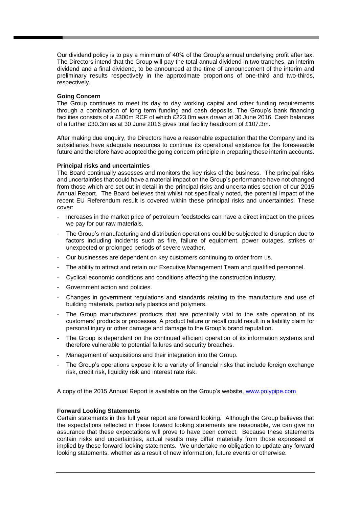Our dividend policy is to pay a minimum of 40% of the Group's annual underlying profit after tax. The Directors intend that the Group will pay the total annual dividend in two tranches, an interim dividend and a final dividend, to be announced at the time of announcement of the interim and preliminary results respectively in the approximate proportions of one-third and two-thirds, respectively.

### **Going Concern**

The Group continues to meet its day to day working capital and other funding requirements through a combination of long term funding and cash deposits. The Group's bank financing facilities consists of a £300m RCF of which £223.0m was drawn at 30 June 2016. Cash balances of a further £30.3m as at 30 June 2016 gives total facility headroom of £107.3m.

After making due enquiry, the Directors have a reasonable expectation that the Company and its subsidiaries have adequate resources to continue its operational existence for the foreseeable future and therefore have adopted the going concern principle in preparing these interim accounts.

### **Principal risks and uncertainties**

The Board continually assesses and monitors the key risks of the business. The principal risks and uncertainties that could have a material impact on the Group's performance have not changed from those which are set out in detail in the principal risks and uncertainties section of our 2015 Annual Report. The Board believes that whilst not specifically noted, the potential impact of the recent EU Referendum result is covered within these principal risks and uncertainties. These cover:

- Increases in the market price of petroleum feedstocks can have a direct impact on the prices we pay for our raw materials.
- The Group's manufacturing and distribution operations could be subjected to disruption due to factors including incidents such as fire, failure of equipment, power outages, strikes or unexpected or prolonged periods of severe weather.
- Our businesses are dependent on key customers continuing to order from us.
- The ability to attract and retain our Executive Management Team and qualified personnel.
- Cyclical economic conditions and conditions affecting the construction industry.
- Government action and policies.
- Changes in government regulations and standards relating to the manufacture and use of building materials, particularly plastics and polymers.
- The Group manufactures products that are potentially vital to the safe operation of its customers' products or processes. A product failure or recall could result in a liability claim for personal injury or other damage and damage to the Group's brand reputation.
- The Group is dependent on the continued efficient operation of its information systems and therefore vulnerable to potential failures and security breaches.
- Management of acquisitions and their integration into the Group.
- The Group's operations expose it to a variety of financial risks that include foreign exchange risk, credit risk, liquidity risk and interest rate risk.

A copy of the 2015 Annual Report is available on the Group's website, [www.polypipe.com](http://www.polypipe.com/)

### **Forward Looking Statements**

Certain statements in this full year report are forward looking. Although the Group believes that the expectations reflected in these forward looking statements are reasonable, we can give no assurance that these expectations will prove to have been correct. Because these statements contain risks and uncertainties, actual results may differ materially from those expressed or implied by these forward looking statements. We undertake no obligation to update any forward looking statements, whether as a result of new information, future events or otherwise.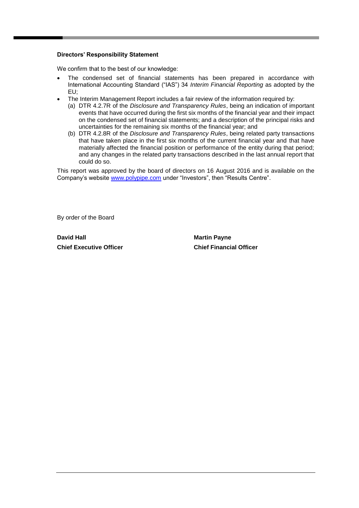### **Directors' Responsibility Statement**

We confirm that to the best of our knowledge:

- The condensed set of financial statements has been prepared in accordance with International Accounting Standard ("IAS") 34 *Interim Financial Reporting* as adopted by the EU;
- The Interim Management Report includes a fair review of the information required by:
	- (a) DTR 4.2.7R of the *Disclosure and Transparency Rules*, being an indication of important events that have occurred during the first six months of the financial year and their impact on the condensed set of financial statements; and a description of the principal risks and uncertainties for the remaining six months of the financial year; and
	- (b) DTR 4.2.8R of the *Disclosure and Transparency Rules*, being related party transactions that have taken place in the first six months of the current financial year and that have materially affected the financial position or performance of the entity during that period; and any changes in the related party transactions described in the last annual report that could do so.

This report was approved by the board of directors on 16 August 2016 and is available on the Company's website [www.polypipe.com](http://www.polypipe.com/) under "Investors", then "Results Centre".

By order of the Board

**David Hall Martin Payne Chief Executive Officer Chief Financial Officer**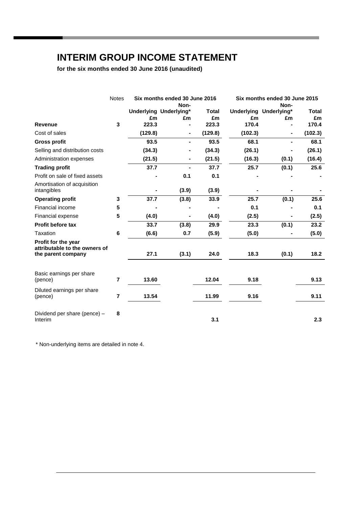## **INTERIM GROUP INCOME STATEMENT**

**for the six months ended 30 June 2016 (unaudited)**

|                                                      | <b>Notes</b>   | Six months ended 30 June 2016<br>Non- |                              |         | Six months ended 30 June 2015<br>Non- |                        |              |
|------------------------------------------------------|----------------|---------------------------------------|------------------------------|---------|---------------------------------------|------------------------|--------------|
|                                                      |                |                                       | Underlying Underlying*       | Total   |                                       | Underlying Underlying* | <b>Total</b> |
|                                                      |                | £m                                    | £m                           | £m      | £m                                    | £m                     | £m           |
| <b>Revenue</b>                                       | 3              | 223.3                                 |                              | 223.3   | 170.4                                 |                        | 170.4        |
| Cost of sales                                        |                | (129.8)                               | $\qquad \qquad \blacksquare$ | (129.8) | (102.3)                               | $\blacksquare$         | (102.3)      |
| <b>Gross profit</b>                                  |                | 93.5                                  | $\qquad \qquad \blacksquare$ | 93.5    | 68.1                                  | $\blacksquare$         | 68.1         |
| Selling and distribution costs                       |                | (34.3)                                |                              | (34.3)  | (26.1)                                |                        | (26.1)       |
| Administration expenses                              |                | (21.5)                                |                              | (21.5)  | (16.3)                                | (0.1)                  | (16.4)       |
| <b>Trading profit</b>                                |                | 37.7                                  |                              | 37.7    | 25.7                                  | (0.1)                  | 25.6         |
| Profit on sale of fixed assets                       |                |                                       | 0.1                          | 0.1     |                                       |                        |              |
| Amortisation of acquisition<br>intangibles           |                |                                       | (3.9)                        | (3.9)   |                                       |                        |              |
| <b>Operating profit</b>                              | 3              | 37.7                                  | (3.8)                        | 33.9    | 25.7                                  | (0.1)                  | 25.6         |
| Financial income                                     | 5              |                                       |                              |         | 0.1                                   |                        | 0.1          |
| Financial expense                                    | 5              | (4.0)                                 | Ξ.                           | (4.0)   | (2.5)                                 | $\blacksquare$         | (2.5)        |
| <b>Profit before tax</b>                             |                | 33.7                                  | (3.8)                        | 29.9    | 23.3                                  | (0.1)                  | 23.2         |
| Taxation                                             | 6              | (6.6)                                 | 0.7                          | (5.9)   | (5.0)                                 |                        | (5.0)        |
| Profit for the year<br>attributable to the owners of |                |                                       |                              |         |                                       |                        |              |
| the parent company                                   |                | 27.1                                  | (3.1)                        | 24.0    | 18.3                                  | (0.1)                  | 18.2         |
| Basic earnings per share<br>(pence)                  | 7              | 13.60                                 |                              | 12.04   | 9.18                                  |                        | 9.13         |
| Diluted earnings per share<br>(pence)                | $\overline{7}$ | 13.54                                 |                              | 11.99   | 9.16                                  |                        | 9.11         |
| Dividend per share (pence) -<br>Interim              | 8              |                                       |                              | 3.1     |                                       |                        | 2.3          |

\* Non-underlying items are detailed in note 4.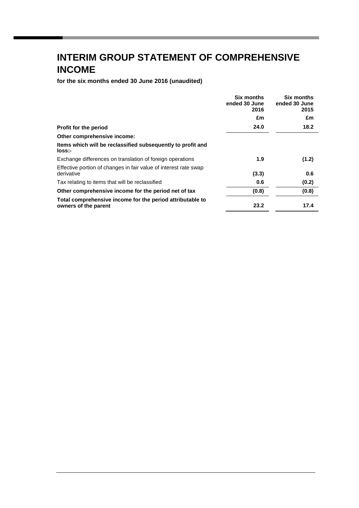# **INTERIM GROUP STATEMENT OF COMPREHENSIVE INCOME**

**for the six months ended 30 June 2016 (unaudited)**

|                                                                                   | <b>Six months</b><br>ended 30 June<br>2016 | <b>Six months</b><br>ended 30 June<br>2015 |
|-----------------------------------------------------------------------------------|--------------------------------------------|--------------------------------------------|
|                                                                                   | £m                                         | £m                                         |
| Profit for the period                                                             | 24.0                                       | 18.2                                       |
| Other comprehensive income:                                                       |                                            |                                            |
| Items which will be reclassified subsequently to profit and<br>loss:-             |                                            |                                            |
| Exchange differences on translation of foreign operations                         | 1.9                                        | (1.2)                                      |
| Effective portion of changes in fair value of interest rate swap<br>derivative    | (3.3)                                      | 0.6                                        |
| Tax relating to items that will be reclassified                                   | 0.6                                        | (0.2)                                      |
| Other comprehensive income for the period net of tax                              | (0.8)                                      | (0.8)                                      |
| Total comprehensive income for the period attributable to<br>owners of the parent | 23.2                                       | 17.4                                       |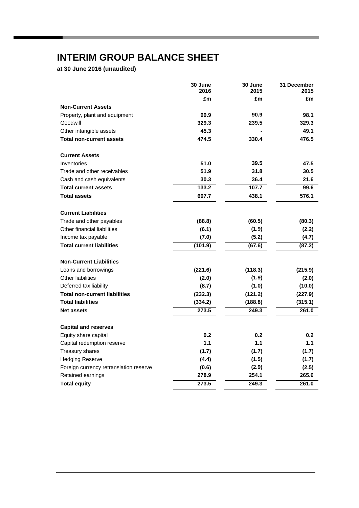# **INTERIM GROUP BALANCE SHEET**

**at 30 June 2016 (unaudited)**

|                                        | 30 June<br>2016 | 30 June<br>2015 | 31 December<br>2015 |
|----------------------------------------|-----------------|-----------------|---------------------|
|                                        | £m              | £m              | £m                  |
| <b>Non-Current Assets</b>              |                 |                 |                     |
| Property, plant and equipment          | 99.9            | 90.9            | 98.1                |
| Goodwill                               | 329.3           | 239.5           | 329.3               |
| Other intangible assets                | 45.3            |                 | 49.1                |
| <b>Total non-current assets</b>        | 474.5           | 330.4           | 476.5               |
| <b>Current Assets</b>                  |                 |                 |                     |
| Inventories                            | 51.0            | 39.5            | 47.5                |
| Trade and other receivables            | 51.9            | 31.8            | 30.5                |
| Cash and cash equivalents              | 30.3            | 36.4            | 21.6                |
| <b>Total current assets</b>            | 133.2           | 107.7           | 99.6                |
| <b>Total assets</b>                    | 607.7           | 438.1           | 576.1               |
| <b>Current Liabilities</b>             |                 |                 |                     |
| Trade and other payables               | (88.8)          | (60.5)          | (80.3)              |
| Other financial liabilities            | (6.1)           | (1.9)           | (2.2)               |
| Income tax payable                     | (7.0)           | (5.2)           | (4.7)               |
| <b>Total current liabilities</b>       | (101.9)         | (67.6)          | (87.2)              |
| <b>Non-Current Liabilities</b>         |                 |                 |                     |
| Loans and borrowings                   | (221.6)         | (118.3)         | (215.9)             |
| Other liabilities                      | (2.0)           | (1.9)           | (2.0)               |
| Deferred tax liability                 | (8.7)           | (1.0)           | (10.0)              |
| <b>Total non-current liabilities</b>   | (232.3)         | (121.2)         | (227.9)             |
| <b>Total liabilities</b>               | (334.2)         | (188.8)         | (315.1)             |
| <b>Net assets</b>                      | 273.5           | 249.3           | 261.0               |
| <b>Capital and reserves</b>            |                 |                 |                     |
| Equity share capital                   | 0.2             | 0.2             | 0.2                 |
| Capital redemption reserve             | 1.1             | 1.1             | 1.1                 |
| Treasury shares                        | (1.7)           | (1.7)           | (1.7)               |
| <b>Hedging Reserve</b>                 | (4.4)           | (1.5)           | (1.7)               |
| Foreign currency retranslation reserve | (0.6)           | (2.9)           | (2.5)               |
| Retained earnings                      | 278.9           | 254.1           | 265.6               |
| <b>Total equity</b>                    | 273.5           | 249.3           | 261.0               |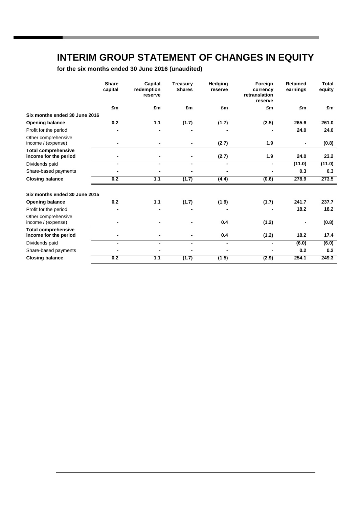## **INTERIM GROUP STATEMENT OF CHANGES IN EQUITY**

**for the six months ended 30 June 2016 (unaudited)**

|                                                     | <b>Share</b><br>capital | Capital<br>redemption<br>reserve | <b>Treasury</b><br><b>Shares</b> | <b>Hedging</b><br>reserve | Foreign<br>currency<br>retranslation<br>reserve | <b>Retained</b><br>earnings | <b>Total</b><br>equity |
|-----------------------------------------------------|-------------------------|----------------------------------|----------------------------------|---------------------------|-------------------------------------------------|-----------------------------|------------------------|
|                                                     | £m                      | £m                               | £m                               | £m                        | £m                                              | £m                          | £m                     |
| Six months ended 30 June 2016                       |                         |                                  |                                  |                           |                                                 |                             |                        |
| <b>Opening balance</b>                              | 0.2                     | 1.1                              | (1.7)                            | (1.7)                     | (2.5)                                           | 265.6                       | 261.0                  |
| Profit for the period                               |                         |                                  |                                  |                           |                                                 | 24.0                        | 24.0                   |
| Other comprehensive<br>income / (expense)           |                         |                                  |                                  | (2.7)                     | 1.9                                             |                             | (0.8)                  |
| <b>Total comprehensive</b><br>income for the period |                         |                                  |                                  | (2.7)                     | 1.9                                             | 24.0                        | 23.2                   |
| Dividends paid                                      |                         |                                  |                                  |                           |                                                 | (11.0)                      | (11.0)                 |
| Share-based payments                                |                         |                                  |                                  |                           |                                                 | 0.3                         | 0.3                    |
| <b>Closing balance</b>                              | 0.2                     | 1.1                              | (1.7)                            | (4.4)                     | (0.6)                                           | 278.9                       | 273.5                  |
| Six months ended 30 June 2015                       |                         |                                  |                                  |                           |                                                 |                             |                        |
| <b>Opening balance</b>                              | 0.2                     | 1.1                              | (1.7)                            | (1.9)                     | (1.7)                                           | 241.7                       | 237.7                  |
| Profit for the period                               |                         |                                  |                                  |                           |                                                 | 18.2                        | 18.2                   |
| Other comprehensive<br>income / (expense)           |                         |                                  |                                  | 0.4                       | (1.2)                                           | -                           | (0.8)                  |
| <b>Total comprehensive</b><br>income for the period |                         | -                                |                                  | 0.4                       | (1.2)                                           | 18.2                        | 17.4                   |
| Dividends paid                                      |                         | $\blacksquare$                   |                                  | ٠                         |                                                 | (6.0)                       | (6.0)                  |
| Share-based payments                                |                         |                                  |                                  |                           |                                                 | 0.2                         | 0.2                    |
| <b>Closing balance</b>                              | 0.2                     | $1.1$                            | (1.7)                            | (1.5)                     | (2.9)                                           | 254.1                       | 249.3                  |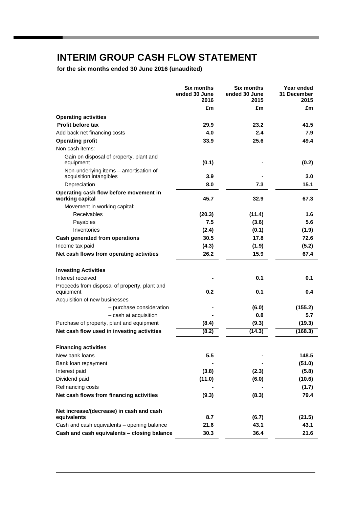# **INTERIM GROUP CASH FLOW STATEMENT**

**for the six months ended 30 June 2016 (unaudited)**

|                                                                   | <b>Six months</b><br>ended 30 June<br>2016 | <b>Six months</b><br>ended 30 June<br>2015 | Year ended<br>31 December<br>2015 |
|-------------------------------------------------------------------|--------------------------------------------|--------------------------------------------|-----------------------------------|
|                                                                   | £m                                         | £m                                         | £m                                |
| <b>Operating activities</b>                                       |                                            |                                            |                                   |
| Profit before tax                                                 | 29.9                                       | 23.2                                       | 41.5                              |
| Add back net financing costs                                      | 4.0                                        | 2.4                                        | 7.9                               |
| <b>Operating profit</b>                                           | 33.9                                       | 25.6                                       | 49.4                              |
| Non cash items:                                                   |                                            |                                            |                                   |
| Gain on disposal of property, plant and                           |                                            |                                            |                                   |
| equipment                                                         | (0.1)                                      |                                            | (0.2)                             |
| Non-underlying items - amortisation of<br>acquisition intangibles | 3.9                                        |                                            | 3.0                               |
| Depreciation                                                      | 8.0                                        | 7.3                                        | 15.1                              |
| Operating cash flow before movement in                            |                                            |                                            |                                   |
| working capital                                                   | 45.7                                       | 32.9                                       | 67.3                              |
| Movement in working capital:<br><b>Receivables</b>                |                                            |                                            |                                   |
| Payables                                                          | (20.3)<br>7.5                              | (11.4)                                     | 1.6<br>5.6                        |
| Inventories                                                       | (2.4)                                      | (3.6)                                      |                                   |
| Cash generated from operations                                    | 30.5                                       | (0.1)<br>17.8                              | (1.9)<br>72.6                     |
|                                                                   |                                            |                                            |                                   |
| Income tax paid<br>Net cash flows from operating activities       | (4.3)<br>26.2                              | (1.9)<br>15.9                              | (5.2)<br>67.4                     |
|                                                                   |                                            |                                            |                                   |
| <b>Investing Activities</b>                                       |                                            |                                            |                                   |
| Interest received                                                 |                                            | 0.1                                        | 0.1                               |
| Proceeds from disposal of property, plant and                     |                                            |                                            |                                   |
| equipment                                                         | 0.2                                        | 0.1                                        | 0.4                               |
| Acquisition of new businesses                                     |                                            |                                            |                                   |
| - purchase consideration                                          |                                            | (6.0)                                      | (155.2)                           |
| - cash at acquisition                                             |                                            | 0.8                                        | 5.7                               |
| Purchase of property, plant and equipment                         | (8.4)                                      | (9.3)                                      | (19.3)                            |
| Net cash flow used in investing activities                        | (8.2)                                      | (14.3)                                     | (168.3)                           |
| <b>Financing activities</b>                                       |                                            |                                            |                                   |
| New bank loans                                                    | 5.5                                        |                                            | 148.5                             |
| Bank loan repayment                                               |                                            |                                            | (51.0)                            |
| Interest paid                                                     | (3.8)                                      | (2.3)                                      | (5.8)                             |
| Dividend paid                                                     | (11.0)                                     | (6.0)                                      | (10.6)                            |
| Refinancing costs                                                 |                                            |                                            | (1.7)                             |
| Net cash flows from financing activities                          | (9.3)                                      | (8.3)                                      | 79.4                              |
|                                                                   |                                            |                                            |                                   |
| Net increase/(decrease) in cash and cash                          |                                            |                                            |                                   |
| equivalents                                                       | 8.7                                        | (6.7)                                      | (21.5)                            |
| Cash and cash equivalents - opening balance                       | 21.6                                       | 43.1                                       | 43.1                              |
| Cash and cash equivalents - closing balance                       | 30.3                                       | 36.4                                       | 21.6                              |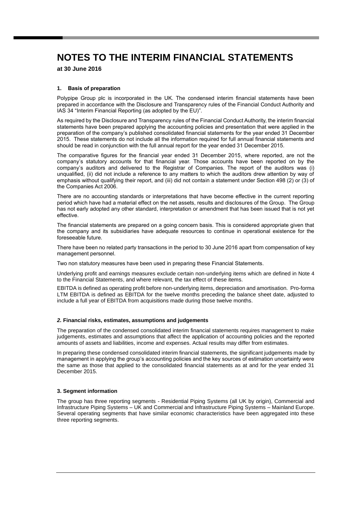**at 30 June 2016**

### **1. Basis of preparation**

Polypipe Group plc is incorporated in the UK. The condensed interim financial statements have been prepared in accordance with the Disclosure and Transparency rules of the Financial Conduct Authority and IAS 34 "Interim Financial Reporting (as adopted by the EU)".

As required by the Disclosure and Transparency rules of the Financial Conduct Authority, the interim financial statements have been prepared applying the accounting policies and presentation that were applied in the preparation of the company's published consolidated financial statements for the year ended 31 December 2015. These statements do not include all the information required for full annual financial statements and should be read in conjunction with the full annual report for the year ended 31 December 2015.

The comparative figures for the financial year ended 31 December 2015, where reported, are not the company's statutory accounts for that financial year. Those accounts have been reported on by the company's auditors and delivered to the Registrar of Companies. The report of the auditors was (i) unqualified, (ii) did not include a reference to any matters to which the auditors drew attention by way of emphasis without qualifying their report, and (iii) did not contain a statement under Section 498 (2) or (3) of the Companies Act 2006.

There are no accounting standards or interpretations that have become effective in the current reporting period which have had a material effect on the net assets, results and disclosures of the Group. The Group has not early adopted any other standard, interpretation or amendment that has been issued that is not yet effective.

The financial statements are prepared on a going concern basis. This is considered appropriate given that the company and its subsidiaries have adequate resources to continue in operational existence for the foreseeable future.

There have been no related party transactions in the period to 30 June 2016 apart from compensation of key management personnel.

Two non statutory measures have been used in preparing these Financial Statements.

Underlying profit and earnings measures exclude certain non-underlying items which are defined in Note 4 to the Financial Statements, and where relevant, the tax effect of these items.

EBITDA is defined as operating profit before non-underlying items, depreciation and amortisation. Pro-forma LTM EBITDA is defined as EBITDA for the twelve months preceding the balance sheet date, adjusted to include a full year of EBITDA from acquisitions made during those twelve months.

### *2.* **Financial risks, estimates, assumptions and judgements**

The preparation of the condensed consolidated interim financial statements requires management to make judgements, estimates and assumptions that affect the application of accounting policies and the reported amounts of assets and liabilities, income and expenses. Actual results may differ from estimates.

In preparing these condensed consolidated interim financial statements, the significant judgements made by management in applying the group's accounting policies and the key sources of estimation uncertainty were the same as those that applied to the consolidated financial statements as at and for the year ended 31 December 2015.

### **3. Segment information**

The group has three reporting segments - Residential Piping Systems (all UK by origin), Commercial and Infrastructure Piping Systems – UK and Commercial and Infrastructure Piping Systems – Mainland Europe. Several operating segments that have similar economic characteristics have been aggregated into these three reporting segments.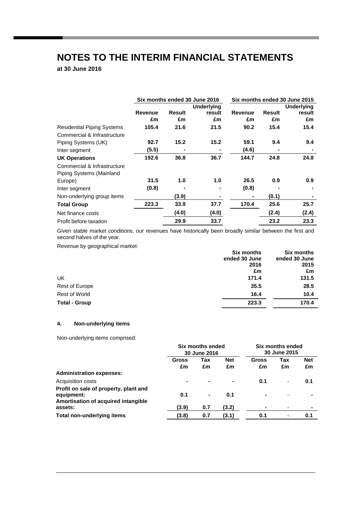**at 30 June 2016**

|                                   |         |                   | Six months ended 30 June 2016 |                | Six months ended 30 June 2015 |        |  |  |
|-----------------------------------|---------|-------------------|-------------------------------|----------------|-------------------------------|--------|--|--|
|                                   |         | <b>Underlying</b> |                               |                | <b>Underlying</b>             |        |  |  |
|                                   | Revenue | <b>Result</b>     | result                        | Revenue        | Result                        | result |  |  |
|                                   | £m      | £m                | £m                            | £m             | £m                            | £m     |  |  |
| <b>Residential Piping Systems</b> | 105.4   | 21.6              | 21.5                          | 90.2           | 15.4                          | 15.4   |  |  |
| Commercial & Infrastructure       |         |                   |                               |                |                               |        |  |  |
| Piping Systems (UK)               | 92.7    | 15.2              | 15.2                          | 59.1           | 9.4                           | 9.4    |  |  |
| Inter segment                     | (5.5)   |                   |                               | (4.6)          |                               |        |  |  |
| <b>UK Operations</b>              | 192.6   | 36.8              | 36.7                          | 144.7          | 24.8                          | 24.8   |  |  |
| Commercial & Infrastructure       |         |                   |                               |                |                               |        |  |  |
| Piping Systems (Mainland          |         |                   |                               |                |                               |        |  |  |
| Europe)                           | 31.5    | 1.0               | 1.0                           | 26.5           | 0.9                           | 0.9    |  |  |
| Inter segment                     | (0.8)   |                   |                               | (0.8)          |                               |        |  |  |
| Non-underlying group items        |         | (3.9)             |                               | $\blacksquare$ | (0.1)                         |        |  |  |
| <b>Total Group</b>                | 223.3   | 33.9              | 37.7                          | 170.4          | 25.6                          | 25.7   |  |  |
| Net finance costs                 |         | (4.0)             | (4.0)                         |                | (2.4)                         | (2.4)  |  |  |
| Profit before taxation            |         | 29.9              | 33.7                          |                | 23.2                          | 23.3   |  |  |

Given stable market conditions, our revenues have historically been broadly similar between the first and second halves of the year.

Revenue by geographical market:

|                      | <b>Six months</b> | <b>Six months</b> |
|----------------------|-------------------|-------------------|
|                      | ended 30 June     | ended 30 June     |
|                      | 2016              | 2015              |
|                      | £m                | £m                |
| UK                   | 171.4             | 131.5             |
| Rest of Europe       | 35.5              | 28.5              |
| Rest of World        | 16.4              | 10.4              |
| <b>Total - Group</b> | 223.3             | 170.4             |

### **4. Non-underlying items**

Non-underlying items comprised:

|                                                                                            | Six months ended<br>30 June 2016 |                |                  | Six months ended<br>30 June 2015 |                          |                  |
|--------------------------------------------------------------------------------------------|----------------------------------|----------------|------------------|----------------------------------|--------------------------|------------------|
|                                                                                            | Gross<br>£m                      | Tax<br>£m      | <b>Net</b><br>£m | Gross<br>£m                      | Tax<br>£m                | <b>Net</b><br>£m |
| <b>Administration expenses:</b>                                                            |                                  |                |                  |                                  |                          |                  |
| Acquisition costs                                                                          | $\blacksquare$                   |                | $\blacksquare$   | 0.1                              | ۰                        | 0.1              |
| Profit on sale of property, plant and<br>equipment:<br>Amortisation of acquired intangible | 0.1                              | $\blacksquare$ | 0.1              |                                  |                          |                  |
| assets:                                                                                    | (3.9)                            | 0.7            | (3.2)            |                                  |                          |                  |
| <b>Total non-underlying items</b>                                                          | (3.8)                            | 0.7            | (3.1)            | 0.1                              | $\overline{\phantom{0}}$ | 0.1              |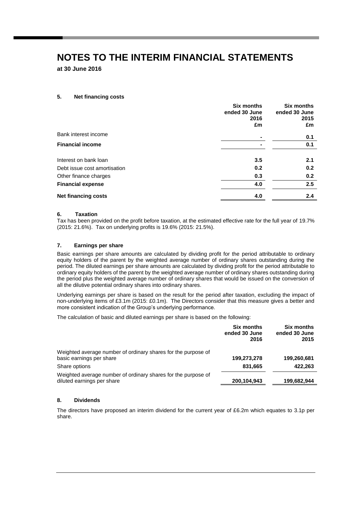**at 30 June 2016**

### **5. Net financing costs**

|                              | <b>Six months</b><br>ended 30 June<br>2016<br>£m | <b>Six months</b><br>ended 30 June<br>2015<br>£m |
|------------------------------|--------------------------------------------------|--------------------------------------------------|
| Bank interest income         |                                                  | 0.1                                              |
| <b>Financial income</b>      |                                                  | 0.1                                              |
| Interest on bank loan        | 3.5                                              | 2.1                                              |
| Debt issue cost amortisation | 0.2                                              | 0.2                                              |
| Other finance charges        | 0.3                                              | 0.2                                              |
| <b>Financial expense</b>     | 4.0                                              | 2.5                                              |
| <b>Net financing costs</b>   | 4.0                                              | 2.4                                              |

### **6. Taxation**

Tax has been provided on the profit before taxation, at the estimated effective rate for the full year of 19.7% (2015: 21.6%). Tax on underlying profits is 19.6% (2015: 21.5%).

### **7. Earnings per share**

Basic earnings per share amounts are calculated by dividing profit for the period attributable to ordinary equity holders of the parent by the weighted average number of ordinary shares outstanding during the period. The diluted earnings per share amounts are calculated by dividing profit for the period attributable to ordinary equity holders of the parent by the weighted average number of ordinary shares outstanding during the period plus the weighted average number of ordinary shares that would be issued on the conversion of all the dilutive potential ordinary shares into ordinary shares.

Underlying earnings per share is based on the result for the period after taxation, excluding the impact of non-underlying items of £3.1m (2015: £0.1m). The Directors consider that this measure gives a better and more consistent indication of the Group's underlying performance.

The calculation of basic and diluted earnings per share is based on the following:

|                                                                                             | Six months<br>ended 30 June<br>2016 | <b>Six months</b><br>ended 30 June<br>2015 |
|---------------------------------------------------------------------------------------------|-------------------------------------|--------------------------------------------|
| Weighted average number of ordinary shares for the purpose of<br>basic earnings per share   | 199,273,278                         | 199,260,681                                |
| Share options                                                                               | 831,665                             | 422,263                                    |
| Weighted average number of ordinary shares for the purpose of<br>diluted earnings per share | 200,104,943                         | 199,682,944                                |

### **8. Dividends**

The directors have proposed an interim dividend for the current year of £6.2m which equates to 3.1p per share.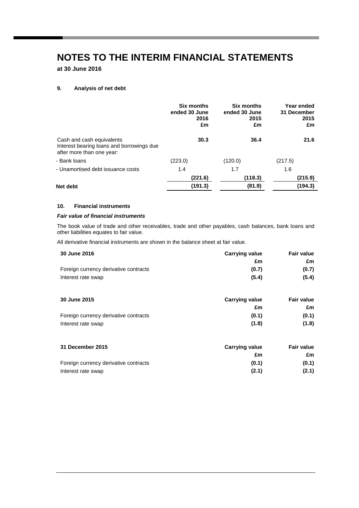**at 30 June 2016**

### **9. Analysis of net debt**

|                                                                                                     | <b>Six months</b><br>ended 30 June<br>2016<br>£m | <b>Six months</b><br>ended 30 June<br>2015<br>£m | Year ended<br>31 December<br>2015<br>£m |
|-----------------------------------------------------------------------------------------------------|--------------------------------------------------|--------------------------------------------------|-----------------------------------------|
| Cash and cash equivalents<br>Interest bearing loans and borrowings due<br>after more than one year: | 30.3                                             | 36.4                                             | 21.6                                    |
| - Bank Ioans                                                                                        | (223.0)                                          | (120.0)                                          | (217.5)                                 |
| - Unamortised debt issuance costs                                                                   | 1.4                                              | 1.7                                              | 1.6                                     |
|                                                                                                     | (221.6)                                          | (118.3)                                          | (215.9)                                 |
| Net debt                                                                                            | (191.3)                                          | (81.9)                                           | (194.3)                                 |
|                                                                                                     |                                                  |                                                  |                                         |

### **10. Financial instruments**

### *Fair value of financial instruments*

The book value of trade and other receivables, trade and other payables, cash balances, bank loans and other liabilities equates to fair value.

All derivative financial instruments are shown in the balance sheet at fair value.

| <b>30 June 2016</b>                   | <b>Carrying value</b> | <b>Fair value</b> |
|---------------------------------------|-----------------------|-------------------|
|                                       | £m                    | £m                |
| Foreign currency derivative contracts | (0.7)                 | (0.7)             |
| Interest rate swap                    | (5.4)                 | (5.4)             |

| <b>30 June 2015</b>                   | <b>Carrying value</b> | <b>Fair value</b> |
|---------------------------------------|-----------------------|-------------------|
|                                       | £m                    | £m.               |
| Foreign currency derivative contracts | (0.1)                 | (0.1)             |
| Interest rate swap                    | (1.8)                 | (1.8)             |

| 31 December 2015                      | <b>Carrying value</b> | <b>Fair value</b> |
|---------------------------------------|-----------------------|-------------------|
|                                       | £m                    | £m                |
| Foreign currency derivative contracts | (0.1)                 | (0.1)             |
| Interest rate swap                    | (2.1)                 | (2.1)             |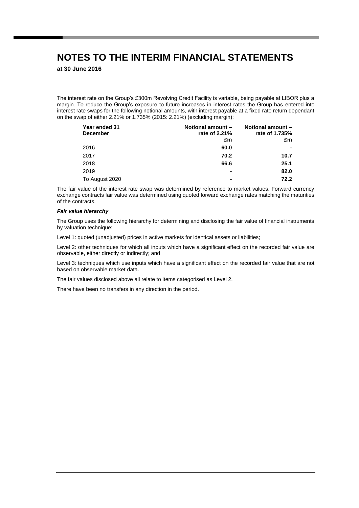**at 30 June 2016**

The interest rate on the Group's £300m Revolving Credit Facility is variable, being payable at LIBOR plus a margin. To reduce the Group's exposure to future increases in interest rates the Group has entered into interest rate swaps for the following notional amounts, with interest payable at a fixed rate return dependant on the swap of either 2.21% or 1.735% (2015: 2.21%) (excluding margin):

| Year ended 31<br><b>December</b> | <b>Notional amount -</b><br>rate of 2.21% | Notional amount -<br>rate of 1.735% |
|----------------------------------|-------------------------------------------|-------------------------------------|
|                                  | £m                                        | £m                                  |
| 2016                             | 60.0                                      |                                     |
| 2017                             | 70.2                                      | 10.7                                |
| 2018                             | 66.6                                      | 25.1                                |
| 2019                             |                                           | 82.0                                |
| To August 2020                   | -                                         | 72.2                                |

The fair value of the interest rate swap was determined by reference to market values. Forward currency exchange contracts fair value was determined using quoted forward exchange rates matching the maturities of the contracts.

#### *Fair value hierarchy*

The Group uses the following hierarchy for determining and disclosing the fair value of financial instruments by valuation technique:

Level 1: quoted (unadjusted) prices in active markets for identical assets or liabilities;

Level 2: other techniques for which all inputs which have a significant effect on the recorded fair value are observable, either directly or indirectly; and

Level 3: techniques which use inputs which have a significant effect on the recorded fair value that are not based on observable market data.

The fair values disclosed above all relate to items categorised as Level 2.

There have been no transfers in any direction in the period.